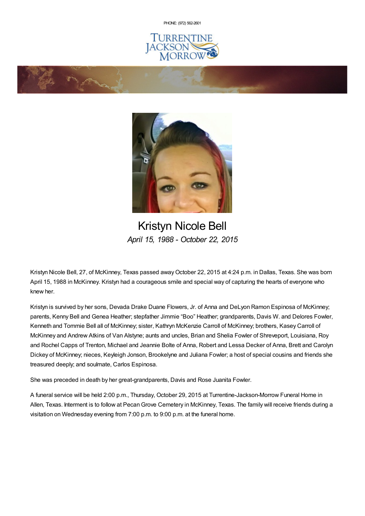PHONE: (972) [562-2601](tel:(972) 562-2601)







Kristyn Nicole Bell *April 15, 1988 - October 22, 2015*

Kristyn Nicole Bell, 27, of McKinney, Texas passed awayOctober 22, 2015 at 4:24 p.m. in Dallas, Texas. She was born April 15, 1988 in McKinney. Kristyn had a courageous smile and special way of capturing the hearts of everyone who knew her.

Kristyn is survived by her sons, Devada Drake Duane Flowers, Jr. of Anna and DeLyon Ramon Espinosa of McKinney; parents, Kenny Bell and Genea Heather; stepfather Jimmie "Boo" Heather; grandparents, Davis W. and Delores Fowler, Kenneth and Tommie Bell all of McKinney; sister, Kathryn McKenzie Carroll of McKinney; brothers, Kasey Carroll of McKinney and Andrew Atkins of Van Alstyne; aunts and uncles, Brian and Shelia Fowler of Shreveport, Louisiana, Roy and Rochel Capps of Trenton, Michael and Jeannie Bolte of Anna, Robert and Lessa Decker of Anna, Brett and Carolyn Dickey of McKinney; nieces, Keyleigh Jonson, Brookelyne and Juliana Fowler; a host of special cousins and friends she treasured deeply; and soulmate, Carlos Espinosa.

She was preceded in death by her great-grandparents, Davis and Rose Juanita Fowler.

A funeral service will be held 2:00 p.m., Thursday, October 29, 2015 at Turrentine-Jackson-Morrow Funeral Home in Allen, Texas. Interment is to follow at Pecan Grove Cemetery in McKinney, Texas. The family will receive friends during a visitation on Wednesday evening from 7:00 p.m. to 9:00 p.m. at the funeral home.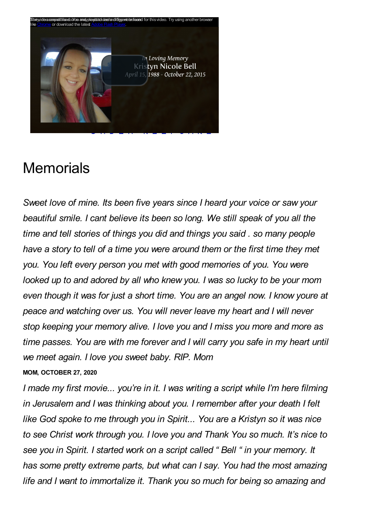

# **Memorials**

*Sweet love of mine. Its been five years since I heard your voice or saw your beautiful smile. I cant believe its been so long. We still speak of you all the time and tell stories of things you did and things you said . so many people have a story to tell of a time you were around them or the first time they met you. You left every person you met with good memories of you. You were looked up to and adored by all who knew you. I was so lucky to be your mom even though it was for just a short time. You are an angel now. I know youre at peace and watching over us. You will never leave my heart and I will never stop keeping your memory alive. I love you and I miss you more and more as time passes. You are with me forever and I will carry you safe in my heart until we meet again. I love you sweet baby. RIP. Mom* **MOM, OCTOBER 27, 2020**

*I made my first movie... you're in it. I was writing a script while I'm here filming in Jerusalem and I was thinking about you. I remember after your death I felt like God spoke to me through you in Spirit... You are a Kristyn so it was nice to see Christ work through you. I love you and Thank You so much. It's nice to see you in Spirit. I started work on a script called " Bell " in your memory. It has some pretty extreme parts, but what can I say. You had the most amazing life and I want to immortalize it. Thank you so much for being so amazing and*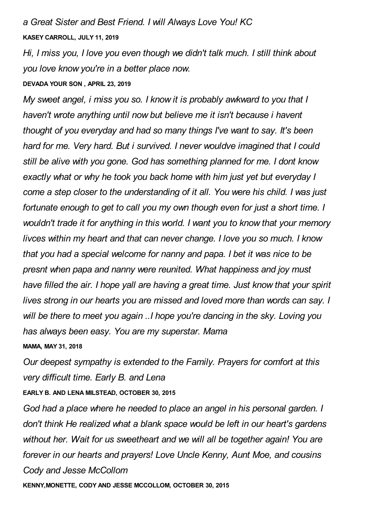*a Great Sister and Best Friend. I will Always Love You! KC* **KASEY CARROLL, JULY 11, 2019**

*Hi, I miss you, I love you even though we didn't talk much. I still think about you love know you're in a better place now.*

#### **DEVADA YOUR SON , APRIL 23, 2019**

*My sweet angel, i miss you so. I know it is probably awkward to you that I haven't wrote anything until now but believe me it isn't because i havent thought of you everyday and had so many things I've want to say. It's been hard for me. Very hard. But i survived. I never wouldve imagined that I could still be alive with you gone. God has something planned for me. I dont know exactly what or why he took you back home with him just yet but everyday I come a step closer to the understanding of it all. You were his child. I was just fortunate enough to get to call you my own though even for just a short time. I wouldn't trade it for anything in this world. I want you to know that your memory livces within my heart and that can never change. I love you so much. I know that you had a special welcome for nanny and papa. I bet it was nice to be presnt when papa and nanny were reunited. What happiness and joy must have filled the air. I hope yall are having a great time. Just know that your spirit lives strong in our hearts you are missed and loved more than words can say. I will be there to meet you again ..I hope you're dancing in the sky. Loving you has always been easy. You are my superstar. Mama*

**MAMA, MAY 31, 2018**

*Our deepest sympathy is extended to the Family. Prayers for comfort at this very difficult time. Early B. and Lena* **EARLY B. AND LENA MILSTEAD, OCTOBER 30, 2015**

*God had a place where he needed to place an angel in his personal garden. I don't think He realized what a blank space would be left in our heart's gardens without her. Wait for us sweetheart and we will all be together again! You are forever in our hearts and prayers! Love Uncle Kenny, Aunt Moe, and cousins Cody and Jesse McCollom*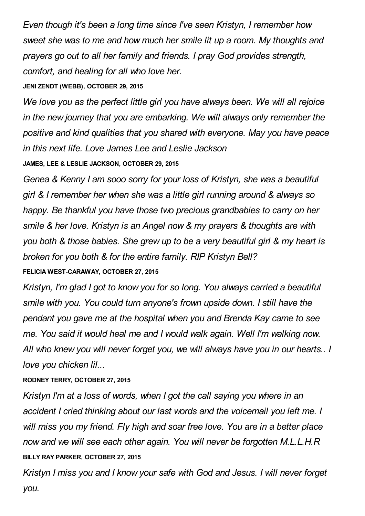*Even though it's been a long time since I've seen Kristyn, I remember how sweet she was to me and how much her smile lit up a room. My thoughts and prayers go out to all her family and friends. I pray God provides strength, comfort, and healing for all who love her.*

# **JENI ZENDT (WEBB), OCTOBER 29, 2015**

*We love you as the perfect little girl you have always been. We will all rejoice in the new journey that you are embarking. We will always only remember the positive and kind qualities that you shared with everyone. May you have peace in this next life. Love James Lee and Leslie Jackson*

**JAMES, LEE & LESLIE JACKSON, OCTOBER 29, 2015**

*Genea & Kenny I am sooo sorry for your loss of Kristyn, she was a beautiful girl & I remember her when she was a little girl running around & always so happy. Be thankful you have those two precious grandbabies to carry on her smile & her love. Kristyn is an Angel now & my prayers & thoughts are with you both & those babies. She grew up to be a very beautiful girl & my heart is broken for you both & for the entire family. RIP Kristyn Bell?* **FELICIA WEST-CARAWAY, OCTOBER 27, 2015**

*Kristyn, I'm glad I got to know you for so long. You always carried a beautiful smile with you. You could turn anyone's frown upside down. I still have the pendant you gave me at the hospital when you and Brenda Kay came to see me. You said it would heal me and I would walk again. Well I'm walking now. All who knew you will never forget you, we will always have you in our hearts.. I love you chicken lil...*

# **RODNEY TERRY, OCTOBER 27, 2015**

*Kristyn I'm at a loss of words, when I got the call saying you where in an accident I cried thinking about our last words and the voicemail you left me. I will miss you my friend. Fly high and soar free love. You are in a better place now and we will see each other again. You will never be forgotten M.L.L.H.R* **BILLY RAY PARKER, OCTOBER 27, 2015**

*Kristyn I miss you and I know your safe with God and Jesus. I will never forget you.*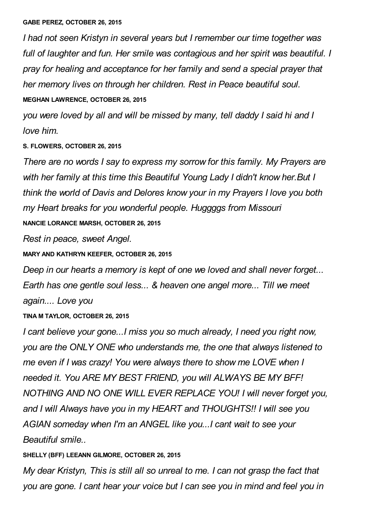*I had not seen Kristyn in several years but I remember our time together was full of laughter and fun. Her smile was contagious and her spirit was beautiful. I pray for healing and acceptance for her family and send a special prayer that her memory lives on through her children. Rest in Peace beautiful soul.* **MEGHAN LAWRENCE, OCTOBER 26, 2015**

*you were loved by all and will be missed by many, tell daddy I said hi and I love him.*

## **S. FLOWERS, OCTOBER 26, 2015**

*There are no words I say to express my sorrow for this family. My Prayers are with her family at this time this Beautiful Young Lady I didn't know her.But I think the world of Davis and Delores know your in my Prayers I love you both my Heart breaks for you wonderful people. Huggggs from Missouri* **NANCIE LORANCE MARSH, OCTOBER 26, 2015**

*Rest in peace, sweet Angel.*

**MARY AND KATHRYN KEEFER, OCTOBER 26, 2015**

*Deep in our hearts a memory is kept of one we loved and shall never forget... Earth has one gentle soul less... & heaven one angel more... Till we meet again.... Love you*

### **TINA M TAYLOR, OCTOBER 26, 2015**

*I cant believe your gone...I miss you so much already, I need you right now, you are the ONLY ONE who understands me, the one that always listened to me even if I was crazy! You were always there to show me LOVE when I needed it. You ARE MY BEST FRIEND, you will ALWAYS BE MY BFF! NOTHING AND NO ONE WILL EVER REPLACE YOU! I will never forget you, and I will Always have you in my HEART and THOUGHTS!! I will see you AGIAN someday when I'm an ANGEL like you...I cant wait to see your Beautiful smile..*

### **SHELLY (BFF) LEEANN GILMORE, OCTOBER 26, 2015**

*My dear Kristyn, This is still all so unreal to me. I can not grasp the fact that you are gone. I cant hear your voice but I can see you in mind and feel you in*